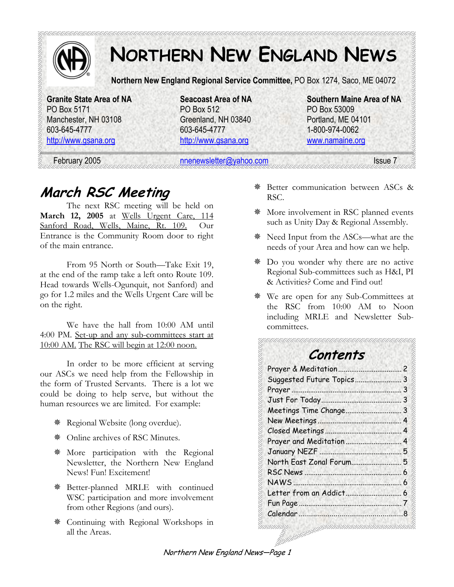

PO Box 5171 PO Box 512 PO Box 53009 Manchester, NH 03108 Greenland, NH 03840 Portland, ME 04101 603-645-4777 603-645-4777 1-800-974-0062 http://www.gsana.org http://www.gsana.org www.namaine.org

**Granite State Area of NA Seacoast Area of NA Southern Maine Area of NA** 

February 2005 **nnenewsletter@yahoo.com** Issue 7

#### **March RSC Meeting**

The next RSC meeting will be held on **March 12, 2005** at Wells Urgent Care, 114 Sanford Road, Wells, Maine, Rt. 109. Our Entrance is the Community Room door to right of the main entrance.

From 95 North or South—Take Exit 19, at the end of the ramp take a left onto Route 109. Head towards Wells-Ogunquit, not Sanford) and go for 1.2 miles and the Wells Urgent Care will be on the right.

We have the hall from 10:00 AM until 4:00 PM. Set-up and any sub-committees start at 10:00 AM. The RSC will begin at 12:00 noon.

In order to be more efficient at serving our ASCs we need help from the Fellowship in the form of Trusted Servants. There is a lot we could be doing to help serve, but without the human resources we are limited. For example:

- Regional Website (long overdue).
- Online archives of RSC Minutes.
- More participation with the Regional Newsletter, the Northern New England News! Fun! Excitement!
- Better-planned MRLE with continued WSC participation and more involvement from other Regions (and ours).
- Continuing with Regional Workshops in all the Areas.
- Better communication between ASCs & RSC.
- More involvement in RSC planned events such as Unity Day & Regional Assembly.
- Need Input from the ASCs—what are the needs of your Area and how can we help.
- Do you wonder why there are no active Regional Sub-committees such as H&I, PI & Activities? Come and Find out!
- We are open for any Sub-Committees at the RSC from 10:00 AM to Noon including MRLE and Newsletter Subcommittees.

# **Contents**

| Suggested Future Topics 3 |     |
|---------------------------|-----|
| Prayer                    | . 3 |
|                           |     |
| Meetings Time Change 3    |     |
|                           |     |
|                           |     |
| Prayer and Meditation 4   |     |
|                           |     |
| North East Zonal Forum 5  |     |
|                           | 6   |
|                           | 6   |
|                           | 6   |
|                           |     |
|                           |     |

Northern New England News—Page 1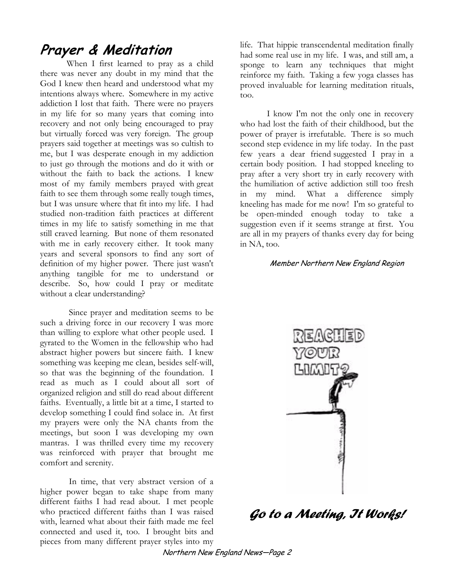# **Prayer & Meditation**

When I first learned to pray as a child there was never any doubt in my mind that the God I knew then heard and understood what my intentions always where. Somewhere in my active addiction I lost that faith. There were no prayers in my life for so many years that coming into recovery and not only being encouraged to pray but virtually forced was very foreign. The group prayers said together at meetings was so cultish to me, but I was desperate enough in my addiction to just go through the motions and do it with or without the faith to back the actions. I knew most of my family members prayed with great faith to see them through some really tough times, but I was unsure where that fit into my life. I had studied non-tradition faith practices at different times in my life to satisfy something in me that still craved learning. But none of them resonated with me in early recovery either. It took many years and several sponsors to find any sort of definition of my higher power. There just wasn't anything tangible for me to understand or describe. So, how could I pray or meditate without a clear understanding?

 Since prayer and meditation seems to be such a driving force in our recovery I was more than willing to explore what other people used. I gyrated to the Women in the fellowship who had abstract higher powers but sincere faith. I knew something was keeping me clean, besides self-will, so that was the beginning of the foundation. I read as much as I could about all sort of organized religion and still do read about different faiths. Eventually, a little bit at a time, I started to develop something I could find solace in. At first my prayers were only the NA chants from the meetings, but soon I was developing my own mantras. I was thrilled every time my recovery was reinforced with prayer that brought me comfort and serenity.

 In time, that very abstract version of a higher power began to take shape from many different faiths I had read about. I met people who practiced different faiths than I was raised with, learned what about their faith made me feel connected and used it, too. I brought bits and pieces from many different prayer styles into my life. That hippie transcendental meditation finally had some real use in my life. I was, and still am, a sponge to learn any techniques that might reinforce my faith. Taking a few yoga classes has proved invaluable for learning meditation rituals, too.

I know I'm not the only one in recovery who had lost the faith of their childhood, but the power of prayer is irrefutable. There is so much second step evidence in my life today. In the past few years a dear friend suggested I pray in a certain body position. I had stopped kneeling to pray after a very short try in early recovery with the humiliation of active addiction still too fresh in my mind. What a difference simply kneeling has made for me now! I'm so grateful to be open-minded enough today to take a suggestion even if it seems strange at first. You are all in my prayers of thanks every day for being in NA, too.

#### Member Northern New England Region



*Go to a Meeting, It Works!*

Northern New England News—Page 2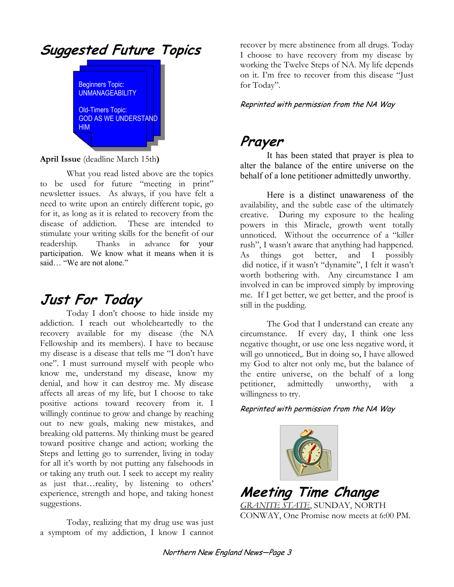

**April Issue** (deadline March 15th**)** 

 What you read listed above are the topics to be used for future "meeting in print" newsletter issues. As always, if you have felt a need to write upon an entirely different topic, go for it, as long as it is related to recovery from the disease of addiction. These are intended to stimulate your writing skills for the benefit of our readership. Thanks in advance for your participation. We know what it means when it is said… "We are not alone."

### **Just For Today**

Today I don't choose to hide inside my addiction. I reach out wholeheartedly to the recovery available for my disease (the NA Fellowship and its members). I have to because my disease is a disease that tells me "I don't have one". I must surround myself with people who know me, understand my disease, know my denial, and how it can destroy me. My disease affects all areas of my life, but I choose to take positive actions toward recovery from it. I willingly continue to grow and change by reaching out to new goals, making new mistakes, and breaking old patterns. My thinking must be geared toward positive change and action; working the Steps and letting go to surrender, living in today for all it's worth by not putting any falsehoods in or taking any truth out. I seek to accept my reality as just that…reality, by listening to others' experience, strength and hope, and taking honest suggestions.

Today, realizing that my drug use was just a symptom of my addiction, I know I cannot

recover by mere abstinence from all drugs. Today I choose to have recovery from my disease by working the Twelve Steps of NA. My life depends on it. I'm free to recover from this disease "Just for Today".

#### Reprinted with permission from the NA Way

#### **Prayer**

It has been stated that prayer is plea to alter the balance of the entire universe on the behalf of a lone petitioner admittedly unworthy.

Here is a distinct unawareness of the availability, and the subtle ease of the ultimately creative. During my exposure to the healing powers in this Miracle, growth went totally unnoticed. Without the occurrence of a "killer rush", I wasn't aware that anything had happened. As things got better, and I possibly did notice, if it wasn't "dynamite", I felt it wasn't worth bothering with. Any circumstance I am involved in can be improved simply by improving me. If I get better, we get better, and the proof is still in the pudding.

 The God that I understand can create any circumstance. If every day, I think one less negative thought, or use one less negative word, it will go unnoticed,. But in doing so, I have allowed my God to alter not only me, but the balance of the entire universe, on the behalf of a long petitioner, admittedly unworthy, with a willingness to try.

#### Reprinted with permission from the NA Way



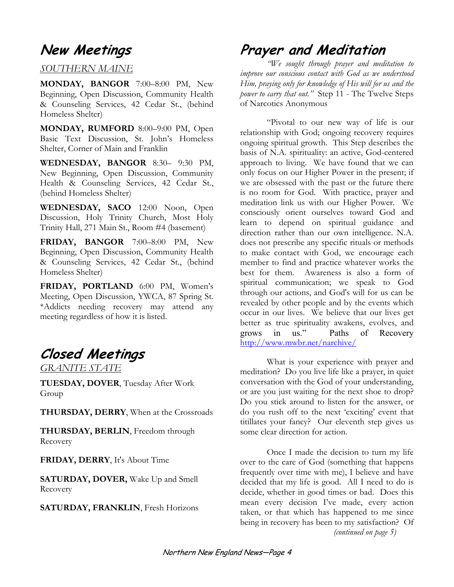#### **New Meetings**

#### *SOUTHERN MAINE*

**MONDAY, BANGOR** 7:00–8:00 PM, New Beginning, Open Discussion, Community Health & Counseling Services, 42 Cedar St., (behind Homeless Shelter)

**MONDAY, RUMFORD** 8:00–9:00 PM, Open Basic Text Discussion, St. John's Homeless Shelter, Corner of Main and Franklin

**WEDNESDAY, BANGOR** 8:30– 9:30 PM, New Beginning, Open Discussion, Community Health & Counseling Services, 42 Cedar St., (behind Homeless Shelter)

**WEDNESDAY, SACO** 12:00 Noon, Open Discussion, Holy Trinity Church, Most Holy Trinity Hall, 271 Main St., Room #4 (basement)

**FRIDAY, BANGOR** 7:00–8:00 PM, New Beginning, Open Discussion, Community Health & Counseling Services, 42 Cedar St., (behind Homeless Shelter)

**FRIDAY, PORTLAND** 6:00 PM, Women's Meeting, Open Discussion, YWCA, 87 Spring St. \*Addicts needing recovery may attend any meeting regardless of how it is listed.

# **Closed Meetings**

*GRANITE STATE* 

**TUESDAY, DOVER**, Tuesday After Work Group

**THURSDAY, DERRY**, When at the Crossroads

**THURSDAY, BERLIN**, Freedom through Recovery

**FRIDAY, DERRY**, It's About Time

**SATURDAY, DOVER,** Wake Up and Smell Recovery

**SATURDAY, FRANKLIN**, Fresh Horizons

#### **Prayer and Meditation**

 *"We sought through prayer and meditation to improve our conscious contact with God as we understood Him, praying only for knowledge of His will for us and the power to carry that out."* Step 11 - The Twelve Steps of Narcotics Anonymous

"Pivotal to our new way of life is our relationship with God; ongoing recovery requires ongoing spiritual growth. This Step describes the basis of N.A. spirituality: an active, God-centered approach to living. We have found that we can only focus on our Higher Power in the present; if we are obsessed with the past or the future there is no room for God. With practice, prayer and meditation link us with our Higher Power. We consciously orient ourselves toward God and learn to depend on spiritual guidance and direction rather than our own intelligence. N.A. does not prescribe any specific rituals or methods to make contact with God, we encourage each member to find and practice whatever works the best for them. Awareness is also a form of spiritual communication; we speak to God through our actions, and God's will for us can be revealed by other people and by the events which occur in our lives. We believe that our lives get better as true spirituality awakens, evolves, and grows in us." Paths of Recovery http://www.mwbr.net/narchive/

 What is your experience with prayer and meditation? Do you live life like a prayer, in quiet conversation with the God of your understanding, or are you just waiting for the next shoe to drop? Do you stick around to listen for the answer, or do you rush off to the next 'exciting' event that titillates your fancy? Our eleventh step gives us some clear direction for action.

 Once I made the decision to turn my life over to the care of God (something that happens frequently over time with me), I believe and have decided that my life is good. All I need to do is decide, whether in good times or bad. Does this mean every decision I've made, every action taken, or that which has happened to me since being in recovery has been to my satisfaction? Of

*(continued on page 5)*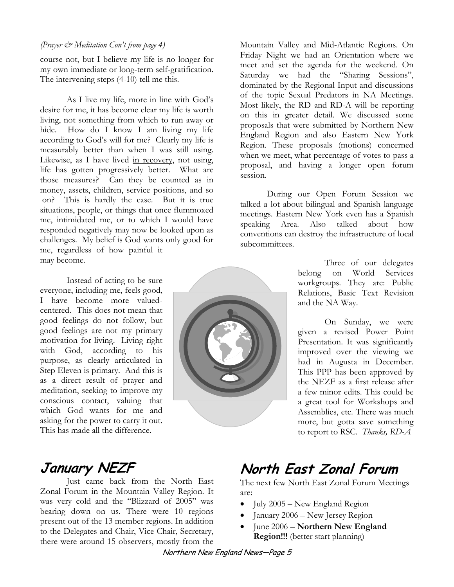#### *(Prayer & Meditation Con't from page 4)*

course not, but I believe my life is no longer for my own immediate or long-term self-gratification. The intervening steps (4-10) tell me this.

 As I live my life, more in line with God's desire for me, it has become clear my life is worth living, not something from which to run away or hide. How do I know I am living my life according to God's will for me? Clearly my life is measurably better than when I was still using. Likewise, as I have lived in recovery, not using, life has gotten progressively better. What are those measures? Can they be counted as in money, assets, children, service positions, and so on? This is hardly the case. But it is true situations, people, or things that once flummoxed me, intimidated me, or to which I would have responded negatively may now be looked upon as challenges. My belief is God wants only good for me, regardless of how painful it may become.

 Instead of acting to be sure everyone, including me, feels good, I have become more valuedcentered. This does not mean that good feelings do not follow, but good feelings are not my primary motivation for living. Living right with God, according to his purpose, as clearly articulated in Step Eleven is primary. And this is as a direct result of prayer and meditation, seeking to improve my conscious contact, valuing that which God wants for me and asking for the power to carry it out. This has made all the difference.



Mountain Valley and Mid-Atlantic Regions. On Friday Night we had an Orientation where we meet and set the agenda for the weekend. On Saturday we had the "Sharing Sessions", dominated by the Regional Input and discussions of the topic Sexual Predators in NA Meetings. Most likely, the RD and RD-A will be reporting on this in greater detail. We discussed some proposals that were submitted by Northern New England Region and also Eastern New York Region. These proposals (motions) concerned when we meet, what percentage of votes to pass a proposal, and having a longer open forum session.

During our Open Forum Session we talked a lot about bilingual and Spanish language meetings. Eastern New York even has a Spanish speaking Area. Also talked about how conventions can destroy the infrastructure of local subcommittees.

> Three of our delegates belong on World Services workgroups. They are: Public Relations, Basic Text Revision and the NA Way.

> On Sunday, we were given a revised Power Point Presentation. It was significantly improved over the viewing we had in Augusta in December. This PPP has been approved by the NEZF as a first release after a few minor edits. This could be a great tool for Workshops and Assemblies, etc. There was much more, but gotta save something to report to RSC. *Thanks, RD-A*

### **January NEZF**

Just came back from the North East Zonal Forum in the Mountain Valley Region. It was very cold and the "Blizzard of 2005" was bearing down on us. There were 10 regions present out of the 13 member regions. In addition to the Delegates and Chair, Vice Chair, Secretary, there were around 15 observers, mostly from the

#### **North East Zonal Forum**

The next few North East Zonal Forum Meetings are:

- July 2005 New England Region
- January 2006 New Jersey Region
- June 2006 **Northern New England Region!!!** (better start planning)

Northern New England News—Page 5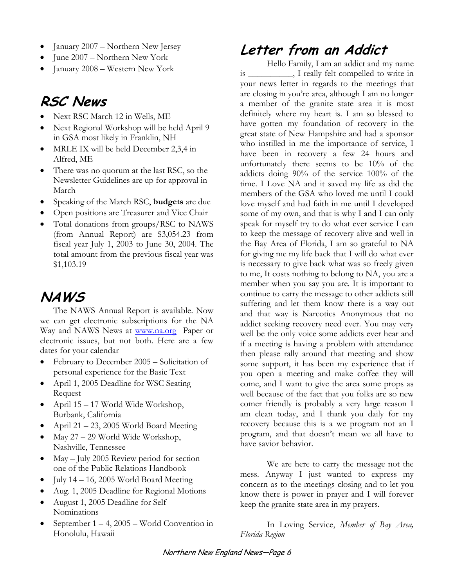- January 2007 Northern New Jersey
- June 2007 Northern New York
- January 2008 Western New York

#### **RSC News**

- Next RSC March 12 in Wells, ME
- Next Regional Workshop will be held April 9 in GSA most likely in Franklin, NH
- MRLE IX will be held December 2,3,4 in Alfred, ME
- There was no quorum at the last RSC, so the Newsletter Guidelines are up for approval in March
- Speaking of the March RSC, **budgets** are due
- Open positions are Treasurer and Vice Chair
- Total donations from groups/RSC to NAWS (from Annual Report) are \$3,054.23 from fiscal year July 1, 2003 to June 30, 2004. The total amount from the previous fiscal year was \$1,103.19

### **NAWS**

The NAWS Annual Report is available. Now we can get electronic subscriptions for the NA Way and NAWS News at www.na.org Paper or electronic issues, but not both. Here are a few dates for your calendar

- February to December 2005 Solicitation of personal experience for the Basic Text
- April 1, 2005 Deadline for WSC Seating Request
- April 15 17 World Wide Workshop, Burbank, California
- April 21 23, 2005 World Board Meeting
- May 27 29 World Wide Workshop, Nashville, Tennessee
- May July 2005 Review period for section one of the Public Relations Handbook
- July 14 16, 2005 World Board Meeting
- Aug. 1, 2005 Deadline for Regional Motions
- August 1, 2005 Deadline for Self Nominations
- September  $1 4$ , 2005 World Convention in Honolulu, Hawaii

#### **Letter from an Addict**

Hello Family, I am an addict and my name is \_\_\_\_\_\_\_\_\_\_, I really felt compelled to write in your news letter in regards to the meetings that are closing in you're area, although I am no longer a member of the granite state area it is most definitely where my heart is. I am so blessed to have gotten my foundation of recovery in the great state of New Hampshire and had a sponsor who instilled in me the importance of service, I have been in recovery a few 24 hours and unfortunately there seems to be 10% of the addicts doing 90% of the service 100% of the time. I Love NA and it saved my life as did the members of the GSA who loved me until I could love myself and had faith in me until I developed some of my own, and that is why I and I can only speak for myself try to do what ever service I can to keep the message of recovery alive and well in the Bay Area of Florida, I am so grateful to NA for giving me my life back that I will do what ever is necessary to give back what was so freely given to me, It costs nothing to belong to NA, you are a member when you say you are. It is important to continue to carry the message to other addicts still suffering and let them know there is a way out and that way is Narcotics Anonymous that no addict seeking recovery need ever. You may very well be the only voice some addicts ever hear and if a meeting is having a problem with attendance then please rally around that meeting and show some support, it has been my experience that if you open a meeting and make coffee they will come, and I want to give the area some props as well because of the fact that you folks are so new comer friendly is probably a very large reason I am clean today, and I thank you daily for my recovery because this is a we program not an I program, and that doesn't mean we all have to have savior behavior.

We are here to carry the message not the mess. Anyway I just wanted to express my concern as to the meetings closing and to let you know there is power in prayer and I will forever keep the granite state area in my prayers.

In Loving Service, *Member of Bay Area, Florida Region*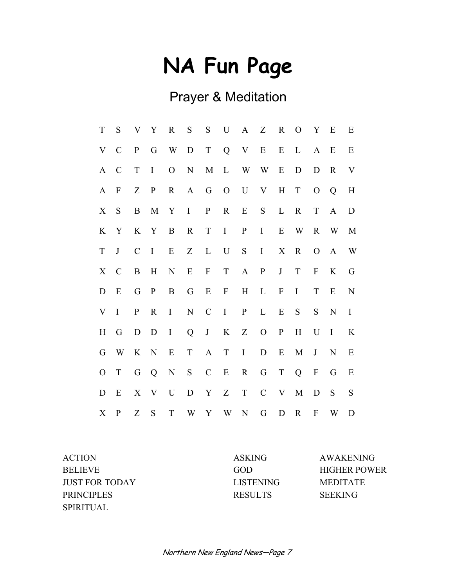# **NA Fun Page**

# Prayer & Meditation

| T             | S             | V             | Y            | $\mathbf R$    | ${\bf S}$     | ${\bf S}$     | $\mathbf U$               | A            | Z             | $\mathbf R$  | $\mathbf{O}$ | Y                         | Ε            | E         |
|---------------|---------------|---------------|--------------|----------------|---------------|---------------|---------------------------|--------------|---------------|--------------|--------------|---------------------------|--------------|-----------|
| V             | $\mathcal{C}$ | $\, {\bf P}$  | G            | W              | $\mathbf D$   | T             |                           | $Q$ V        | E             | E            | $\mathbf{L}$ | $\mathbf{A}$              | E            | E         |
| $\mathbf{A}$  | $\mathcal{C}$ | $\mathbf T$   | $\mathbf I$  | $\overline{O}$ | ${\bf N}$     | $\mathbf{M}$  | $\mathbf{L}$              |              | W W           | E            | $\mathbf D$  | D                         | $\mathbf R$  | V         |
| $\mathbf{A}$  | $\mathbf{F}$  | Z             | $\mathbf{P}$ | $\mathbf{R}$   | A             | G             | $\overline{O}$            | $\mathbf U$  | $\mathbf V$   | $\mathbf H$  | $\mathbf T$  | $\mathbf{O}$              | Q            | $H_{\rm}$ |
| X             | ${\bf S}$     | $\bf{B}$      | $\mathbf M$  | $\mathbf{Y}$   | $\mathbf{I}$  | ${\bf P}$     | $\mathbf R$               | ${\bf E}$    | S             | $\bf L$      | $\mathbf R$  | $\mathbf T$               | $\mathbf{A}$ | D         |
| K             | Y             |               | K Y          | $\, {\bf B}$   | $\mathbf R$   | $\mathbf T$   | $\bf{I}$                  | $\mathbf{P}$ | $\mathbf I$   | E            | W            | $\mathbf R$               | W            | M         |
| $\mathbf T$   | $\bf J$       | $\mathcal{C}$ | $\mathbf I$  | ${\bf E}$      | Z             | $\mathbf L$   | $\mathbf U$               | ${\bf S}$    | $\mathbf I$   | X            | $\mathbf R$  | $\mathbf{O}$              | $\mathbf{A}$ | W         |
| X             | $\mathcal{C}$ | $\, {\bf B}$  | H            | ${\bf N}$      | ${\bf E}$     | $\mathbf F$   | T T                       | $\mathbf{A}$ | $\, {\bf P}$  | J            | $\mathbf T$  | ${\bf F}$                 | $\bf K$      | G         |
| D             | E             | G             | $\mathbf{P}$ | $\bf{B}$       | ${\bf G}$     | $\mathbf E$   | $\boldsymbol{\mathrm{F}}$ | H            | $\mathbf{L}$  | $\mathbf F$  | $\bf I$      | $\mathbf T$               | E            | ${\bf N}$ |
| V             | $\mathbf I$   | $\mathbf{P}$  | $\mathbf R$  | $\mathbf I$    | ${\bf N}$     | $\mathcal{C}$ | $\mathbf I$               | $\mathbf{P}$ | $\mathbf{L}$  | ${\bf E}$    | ${\bf S}$    | S                         | ${\bf N}$    | $\rm I$   |
| H             | G             | ${\bf D}$     | D            | $\mathbf I$    | Q             | $\bf J$       | K                         | Z            | $\mathcal{O}$ | $\mathbf{P}$ | H            | U                         | $\mathbf I$  | K         |
| G             | W             | $\bf K$       | ${\bf N}$    | Ε              | $\mathbf T$   | $\mathbf{A}$  | $\mathbf T$               | $\bf{I}$     | $\mathbf D$   | ${\bf E}$    | M            | $\mathbf{J}$              | ${\bf N}$    | E         |
| $\mathcal{O}$ | $\mathbf T$   | G             | Q            | ${\bf N}$      | $S_{\text{}}$ | $\mathbf C$   | E                         | $\mathbf R$  | $\mathbf G$   | $\mathbf T$  | Q            | $\boldsymbol{\mathrm{F}}$ | G            | E         |
| D             | E             | $\mathbf X$   | $\mathbf{V}$ | U              | ${\bf D}$     | Y             | Z                         | $\mathbf T$  | $\mathcal{C}$ | $\mathbf{V}$ | $\mathbf M$  | $\mathbf D$               | ${\bf S}$    | ${\bf S}$ |
| X             | $\mathbf{P}$  | Z             | ${\bf S}$    | T              |               |               | W Y W                     | $N_{\odot}$  | G             | D            | $\mathbf R$  | $\boldsymbol{F}$          | W            | D         |

ACTION ASKING AWAKENING BELIEVE GOD HIGHER POWER JUST FOR TODAY LISTENING MEDITATE PRINCIPLES RESULTS SEEKING SPIRITUAL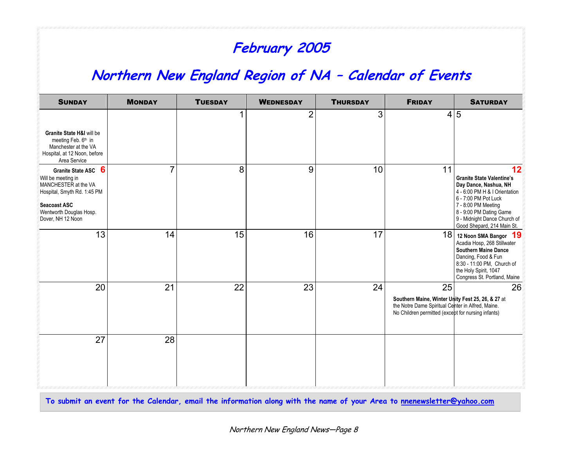## **February 2005**

#### **Northern New England Region of NA – Calendar of Events**

| <b>SUNDAY</b>                                                                                                                                                                     | <b>MONDAY</b>  | <b>TUESDAY</b> | <b>WEDNESDAY</b> | <b>THURSDAY</b> | <b>FRIDAY</b>                                                                                                                                                      | <b>SATURDAY</b>                                                                                                                                                                                                                          |
|-----------------------------------------------------------------------------------------------------------------------------------------------------------------------------------|----------------|----------------|------------------|-----------------|--------------------------------------------------------------------------------------------------------------------------------------------------------------------|------------------------------------------------------------------------------------------------------------------------------------------------------------------------------------------------------------------------------------------|
| Granite State H&I will be<br>meeting Feb. 6th in<br>Manchester at the VA<br>Hospital, at 12 Noon, before<br>Area Service                                                          |                | 1              | 2                | 3               |                                                                                                                                                                    | 4 5                                                                                                                                                                                                                                      |
| 6<br><b>Granite State ASC</b><br>Will be meeting in<br>MANCHESTER at the VA<br>Hospital, Smyth Rd. 1:45 PM<br><b>Seacoast ASC</b><br>Wentworth Douglas Hosp.<br>Dover, NH 12 Noon | $\overline{7}$ | 8              | 9                | 10              | 11                                                                                                                                                                 | 12<br><b>Granite State Valentine's</b><br>Day Dance, Nashua, NH<br>4 - 6:00 PM H & I Orientation<br>6 - 7:00 PM Pot Luck<br>7 - 8:00 PM Meeting<br>8 - 9:00 PM Dating Game<br>9 - Midnight Dance Church of<br>Good Shepard, 214 Main St. |
| 13                                                                                                                                                                                | 14             | 15             | 16               | 17              |                                                                                                                                                                    | 18 12 Noon SMA Bangor 19<br>Acadia Hosp, 268 Stillwater<br><b>Southern Maine Dance</b><br>Dancing, Food & Fun<br>8:30 - 11:00 PM, Church of<br>the Holy Spirit, 1047<br>Congress St. Portland, Maine                                     |
| 20                                                                                                                                                                                | 21             | 22             | 23               | 24              | 25<br>Southern Maine, Winter Unity Fest 25, 26, & 27 at<br>the Notre Dame Spiritual Center in Alfred, Maine.<br>No Children permitted (except for nursing infants) | 26                                                                                                                                                                                                                                       |
| 27                                                                                                                                                                                | 28             |                |                  |                 |                                                                                                                                                                    |                                                                                                                                                                                                                                          |

**To submit an event for the Calendar, email the information along with the name of your Area to nnenewsletter@yahoo.com**